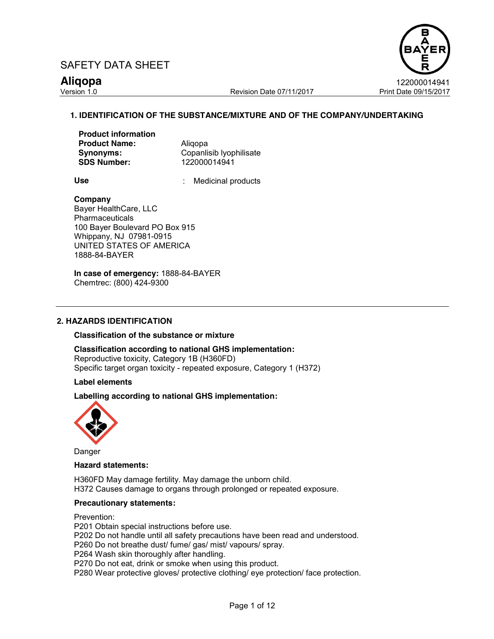

Version 1.0 Revision Date 07/11/2017 Print Date 09/15/2017

**Aliqopa** 122000014941

# **1. IDENTIFICATION OF THE SUBSTANCE/MIXTURE AND OF THE COMPANY/UNDERTAKING**

| <b>Product information</b> |  |
|----------------------------|--|
| <b>Product Name:</b>       |  |
| Synonyms:                  |  |
| <b>SDS Number:</b>         |  |

Aligopa **Copanlisib Ivophilisate SDS Number:** 122000014941

Use **:** Medicinal products

#### **Company**

Bayer HealthCare, LLC **Pharmaceuticals** 100 Bayer Boulevard PO Box 915 Whippany, NJ 07981-0915 UNITED STATES OF AMERICA 1888-84-BAYER

**In case of emergency:** 1888-84-BAYER Chemtrec: (800) 424-9300

## **2. HAZARDS IDENTIFICATION**

#### **Classification of the substance or mixture**

**Classification according to national GHS implementation:**  Reproductive toxicity, Category 1B (H360FD) Specific target organ toxicity - repeated exposure, Category 1 (H372)

**Label elements**

## **Labelling according to national GHS implementation:**



Danger

## **Hazard statements:**

H360FD May damage fertility. May damage the unborn child. H372 Causes damage to organs through prolonged or repeated exposure.

#### **Precautionary statements:**

Prevention:

P201 Obtain special instructions before use. P202 Do not handle until all safety precautions have been read and understood. P260 Do not breathe dust/ fume/ gas/ mist/ vapours/ spray. P264 Wash skin thoroughly after handling. P270 Do not eat, drink or smoke when using this product. P280 Wear protective gloves/ protective clothing/ eye protection/ face protection.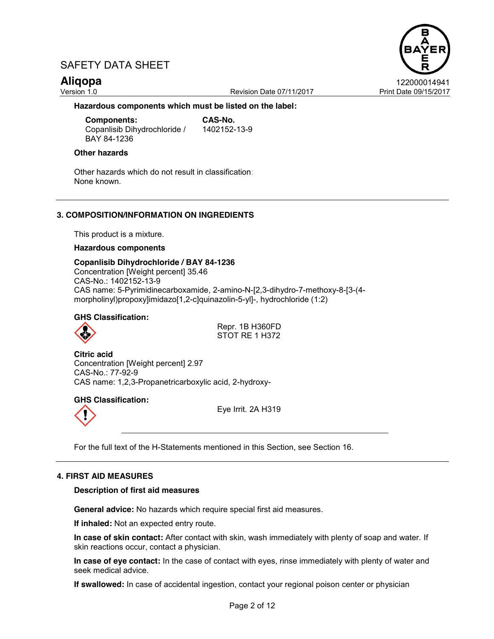Version 1.0 Revision Date 07/11/2017 Print Date 09/15/2017

**Aliqopa** 122000014941

**Hazardous components which must be listed on the label:**

**Components: CAS-No.** Copanlisib Dihydrochloride / BAY 84-1236 1402152-13-9

### **Other hazards**

Other hazards which do not result in classification: None known.

# **3. COMPOSITION/INFORMATION ON INGREDIENTS**

This product is a mixture.

#### **Hazardous components**

**Copanlisib Dihydrochloride / BAY 84-1236** Concentration [Weight percent] 35.46 CAS-No.: 1402152-13-9 CAS name: 5-Pyrimidinecarboxamide, 2-amino-N-[2,3-dihydro-7-methoxy-8-[3-(4 morpholinyl)propoxy]imidazo[1,2-c]quinazolin-5-yl]-, hydrochloride (1:2)

## **GHS Classification:**

Repr. 1B H360FD STOT RE 1 H372

**Citric acid** Concentration [Weight percent] 2.97 CAS-No.: 77-92-9 CAS name: 1,2,3-Propanetricarboxylic acid, 2-hydroxy-

# **GHS Classification:**

Eye Irrit. 2A H319

For the full text of the H-Statements mentioned in this Section, see Section 16.

## **4. FIRST AID MEASURES**

#### **Description of first aid measures**

**General advice:** No hazards which require special first aid measures.

**If inhaled:** Not an expected entry route.

**In case of skin contact:** After contact with skin, wash immediately with plenty of soap and water. If skin reactions occur, contact a physician.

**In case of eye contact:** In the case of contact with eyes, rinse immediately with plenty of water and seek medical advice.

**If swallowed:** In case of accidental ingestion, contact your regional poison center or physician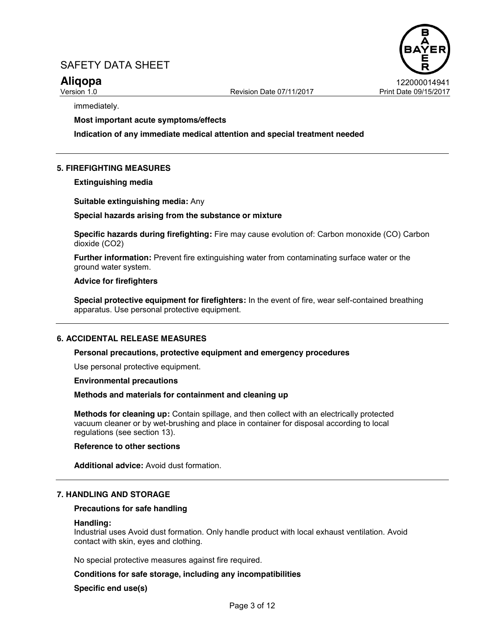

immediately.

#### **Most important acute symptoms/effects**

**Indication of any immediate medical attention and special treatment needed**

## **5. FIREFIGHTING MEASURES**

**Extinguishing media**

**Suitable extinguishing media:** Any

#### **Special hazards arising from the substance or mixture**

**Specific hazards during firefighting:** Fire may cause evolution of: Carbon monoxide (CO) Carbon dioxide (CO2)

**Further information:** Prevent fire extinguishing water from contaminating surface water or the ground water system.

#### **Advice for firefighters**

**Special protective equipment for firefighters:** In the event of fire, wear self-contained breathing apparatus. Use personal protective equipment.

#### **6. ACCIDENTAL RELEASE MEASURES**

#### **Personal precautions, protective equipment and emergency procedures**

Use personal protective equipment.

**Environmental precautions**

#### **Methods and materials for containment and cleaning up**

**Methods for cleaning up:** Contain spillage, and then collect with an electrically protected vacuum cleaner or by wet-brushing and place in container for disposal according to local regulations (see section 13).

#### **Reference to other sections**

**Additional advice:** Avoid dust formation.

#### **7. HANDLING AND STORAGE**

#### **Precautions for safe handling**

#### **Handling:**

Industrial uses Avoid dust formation. Only handle product with local exhaust ventilation. Avoid contact with skin, eyes and clothing.

No special protective measures against fire required.

#### **Conditions for safe storage, including any incompatibilities**

### **Specific end use(s)**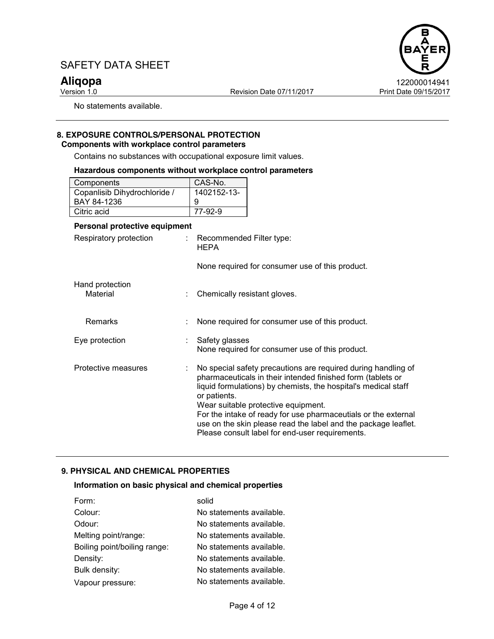Version 1.0 **Print Date 09/15/2017** Revision Date 07/11/2017 Print Date 09/15/2017



No statements available.

#### **8. EXPOSURE CONTROLS/PERSONAL PROTECTION Components with workplace control parameters**

Contains no substances with occupational exposure limit values.

### **Hazardous components without workplace control parameters**

| Components                   | CAS-No.     |
|------------------------------|-------------|
| Copanlisib Dihydrochloride / | 1402152-13- |
| BAY 84-1236                  | 9           |
| Citric acid                  | 77-92-9     |

# **Personal protective equipment**

| Respiratory protection      | ÷ | Recommended Filter type:<br><b>HEPA</b>                                                                                                                                                                                                                                                                                                                                                                                                      |
|-----------------------------|---|----------------------------------------------------------------------------------------------------------------------------------------------------------------------------------------------------------------------------------------------------------------------------------------------------------------------------------------------------------------------------------------------------------------------------------------------|
|                             |   | None required for consumer use of this product.                                                                                                                                                                                                                                                                                                                                                                                              |
| Hand protection<br>Material |   | Chemically resistant gloves.                                                                                                                                                                                                                                                                                                                                                                                                                 |
| <b>Remarks</b>              |   | None required for consumer use of this product.                                                                                                                                                                                                                                                                                                                                                                                              |
| Eye protection              |   | Safety glasses<br>None required for consumer use of this product.                                                                                                                                                                                                                                                                                                                                                                            |
| Protective measures         | ÷ | No special safety precautions are required during handling of<br>pharmaceuticals in their intended finished form (tablets or<br>liquid formulations) by chemists, the hospital's medical staff<br>or patients.<br>Wear suitable protective equipment.<br>For the intake of ready for use pharmaceutials or the external<br>use on the skin please read the label and the package leaflet.<br>Please consult label for end-user requirements. |

# **9. PHYSICAL AND CHEMICAL PROPERTIES**

## **Information on basic physical and chemical properties**

| Form:                        | solid                    |
|------------------------------|--------------------------|
| Colour:                      | No statements available. |
| Odour:                       | No statements available. |
| Melting point/range:         | No statements available. |
| Boiling point/boiling range: | No statements available. |
| Density:                     | No statements available. |
| Bulk density:                | No statements available. |
| Vapour pressure:             | No statements available. |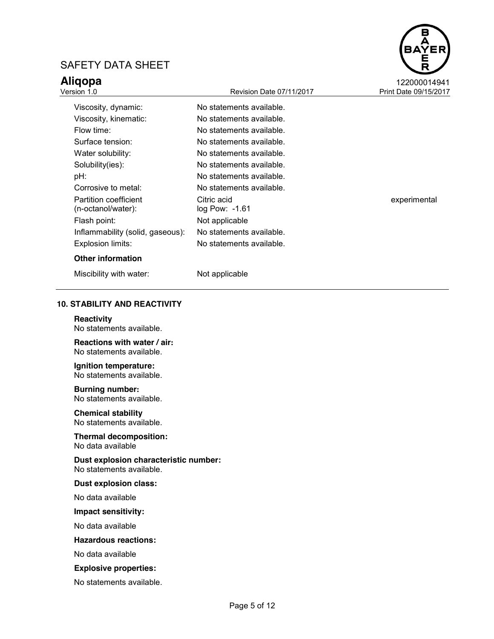

| <b>Revision Date 07/11/2017</b><br>Print Date 09/15/2017<br>Version 1.0 |                                   |              |
|-------------------------------------------------------------------------|-----------------------------------|--------------|
| Viscosity, dynamic:                                                     | No statements available.          |              |
| Viscosity, kinematic:                                                   | No statements available.          |              |
| Flow time:                                                              | No statements available.          |              |
| Surface tension:                                                        | No statements available.          |              |
| Water solubility:                                                       | No statements available.          |              |
| Solubility(ies):                                                        | No statements available.          |              |
| pH:                                                                     | No statements available.          |              |
| Corrosive to metal:                                                     | No statements available.          |              |
| Partition coefficient<br>(n-octanol/water):                             | Citric acid<br>$log$ Pow: $-1.61$ | experimental |
| Flash point:                                                            | Not applicable                    |              |
| Inflammability (solid, gaseous):                                        | No statements available.          |              |
| Explosion limits:                                                       | No statements available.          |              |
|                                                                         |                                   |              |

### **Other information**

Miscibility with water: Not applicable

## **10. STABILITY AND REACTIVITY**

**Reactivity** No statements available.

**Reactions with water / air:** No statements available.

**Ignition temperature:**  No statements available.

#### **Burning number:**  No statements available.

**Chemical stability**

No statements available.

**Thermal decomposition:**  No data available

**Dust explosion characteristic number:** No statements available.

#### **Dust explosion class:**

No data available

**Impact sensitivity:** 

No data available

#### **Hazardous reactions:**

No data available

#### **Explosive properties:**

No statements available.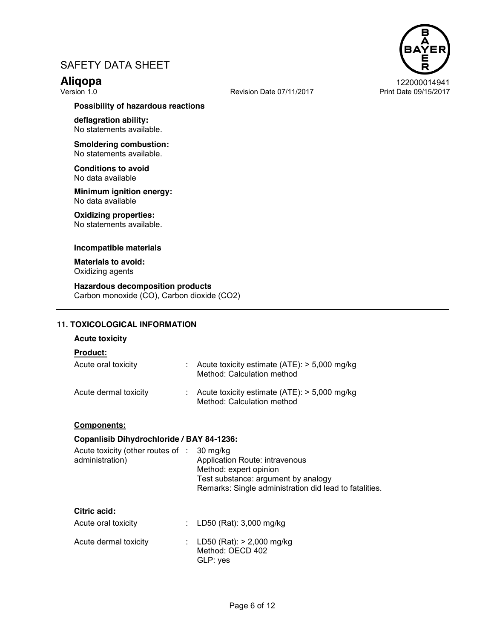

#### **Possibility of hazardous reactions**

**deflagration ability:**  No statements available.

**Smoldering combustion:**  No statements available.

**Conditions to avoid** No data available

**Minimum ignition energy:**  No data available

# **Oxidizing properties:**

No statements available.

#### **Incompatible materials**

**Materials to avoid:**  Oxidizing agents

**Hazardous decomposition products** Carbon monoxide (CO), Carbon dioxide (CO2)

## **11. TOXICOLOGICAL INFORMATION**

#### **Acute toxicity**

|  | Product. |  |
|--|----------|--|
|  |          |  |

| Acute oral toxicity   | : Acute toxicity estimate $(ATE)$ : > 5,000 mg/kg<br>Method: Calculation method           |
|-----------------------|-------------------------------------------------------------------------------------------|
| Acute dermal toxicity | $\therefore$ Acute toxicity estimate (ATE): $>$ 5,000 mg/kg<br>Method: Calculation method |

#### **Components:**

## **Copanlisib Dihydrochloride / BAY 84-1236:**

| Acute toxicity (other routes of :<br>administration) | 30 mg/kg<br>Application Route: intravenous<br>Method: expert opinion<br>Test substance: argument by analogy<br>Remarks: Single administration did lead to fatalities. |
|------------------------------------------------------|-----------------------------------------------------------------------------------------------------------------------------------------------------------------------|
| Citric acid:<br>Acute oral toxicity                  | LD50 (Rat): 3,000 mg/kg                                                                                                                                               |
| Acute dermal toxicity                                | LD50 (Rat): > 2,000 mg/kg<br>Method: OECD 402<br>GLP: yes                                                                                                             |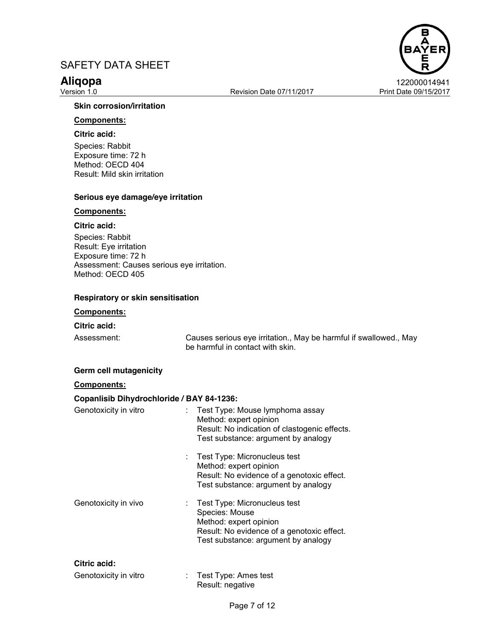Revision Date 07/11/2017 Print Date 09/15/2017



### **Skin corrosion/irritation**

# **Components:**

# **Citric acid:**

Species: Rabbit Exposure time: 72 h Method: OECD 404 Result: Mild skin irritation

## **Serious eye damage/eye irritation**

#### **Components:**

# **Citric acid:**

Species: Rabbit Result: Eye irritation Exposure time: 72 h Assessment: Causes serious eye irritation. Method: OECD 405

## **Respiratory or skin sensitisation**

## **Components:**

#### **Citric acid:**

Assessment: Causes serious eye irritation., May be harmful if swallowed., May be harmful in contact with skin.

#### **Germ cell mutagenicity**

## **Components:**

### **Copanlisib Dihydrochloride / BAY 84-1236:**

| Genotoxicity in vitro | Test Type: Mouse lymphoma assay<br>Method: expert opinion<br>Result: No indication of clastogenic effects.<br>Test substance: argument by analogy             |
|-----------------------|---------------------------------------------------------------------------------------------------------------------------------------------------------------|
|                       | Test Type: Micronucleus test<br>Method: expert opinion<br>Result: No evidence of a genotoxic effect.<br>Test substance: argument by analogy                   |
| Genotoxicity in vivo  | Test Type: Micronucleus test<br>Species: Mouse<br>Method: expert opinion<br>Result: No evidence of a genotoxic effect.<br>Test substance: argument by analogy |
| Citric acid:          |                                                                                                                                                               |
| Genotoxicity in vitro | Test Type: Ames test                                                                                                                                          |

# Page 7 of 12

Result: negative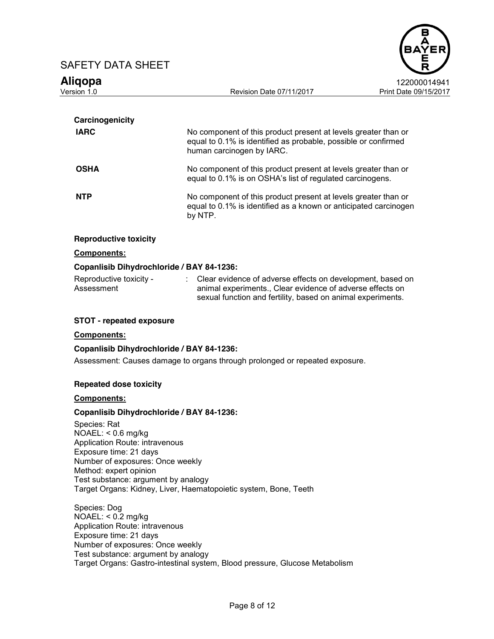



| Carcinogenicity              |                                                                                                                                                               |
|------------------------------|---------------------------------------------------------------------------------------------------------------------------------------------------------------|
| <b>IARC</b>                  | No component of this product present at levels greater than or<br>equal to 0.1% is identified as probable, possible or confirmed<br>human carcinogen by IARC. |
| <b>OSHA</b>                  | No component of this product present at levels greater than or<br>equal to 0.1% is on OSHA's list of regulated carcinogens.                                   |
| <b>NTP</b>                   | No component of this product present at levels greater than or<br>equal to 0.1% is identified as a known or anticipated carcinogen<br>by NTP.                 |
| <b>Reproductive toxicity</b> |                                                                                                                                                               |

# **Components:**

### **Copanlisib Dihydrochloride / BAY 84-1236:**

| - Reproductive toxicity | Clear evidence of adverse effects on development, based on  |
|-------------------------|-------------------------------------------------------------|
| Assessment              | animal experiments., Clear evidence of adverse effects on   |
|                         | sexual function and fertility, based on animal experiments. |

### **STOT - repeated exposure**

#### **Components:**

#### **Copanlisib Dihydrochloride / BAY 84-1236:**

Assessment: Causes damage to organs through prolonged or repeated exposure.

#### **Repeated dose toxicity**

### **Components:**

## **Copanlisib Dihydrochloride / BAY 84-1236:**

Species: Rat NOAEL: < 0.6 mg/kg Application Route: intravenous Exposure time: 21 days Number of exposures: Once weekly Method: expert opinion Test substance: argument by analogy Target Organs: Kidney, Liver, Haematopoietic system, Bone, Teeth

Species: Dog NOAEL: < 0.2 mg/kg Application Route: intravenous Exposure time: 21 days Number of exposures: Once weekly Test substance: argument by analogy Target Organs: Gastro-intestinal system, Blood pressure, Glucose Metabolism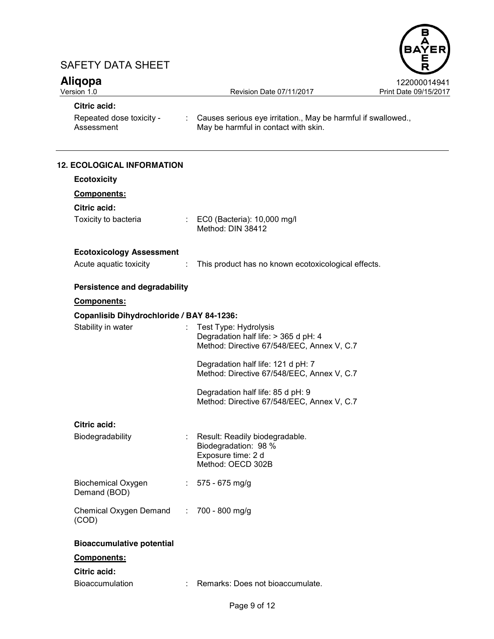



| <b>Citric acid:</b>                              |   |                                                                                                             |
|--------------------------------------------------|---|-------------------------------------------------------------------------------------------------------------|
| Repeated dose toxicity -<br>Assessment           |   | : Causes serious eye irritation., May be harmful if swallowed.,<br>May be harmful in contact with skin.     |
| <b>12. ECOLOGICAL INFORMATION</b>                |   |                                                                                                             |
| <b>Ecotoxicity</b>                               |   |                                                                                                             |
| Components:                                      |   |                                                                                                             |
| Citric acid:                                     |   |                                                                                                             |
| Toxicity to bacteria                             |   | : EC0 (Bacteria): 10,000 mg/l<br>Method: DIN 38412                                                          |
| <b>Ecotoxicology Assessment</b>                  |   |                                                                                                             |
| Acute aquatic toxicity                           | ÷ | This product has no known ecotoxicological effects.                                                         |
| Persistence and degradability                    |   |                                                                                                             |
| Components:                                      |   |                                                                                                             |
| Copanlisib Dihydrochloride / BAY 84-1236:        |   |                                                                                                             |
| Stability in water                               |   | Test Type: Hydrolysis<br>Degradation half life: > 365 d pH: 4<br>Method: Directive 67/548/EEC, Annex V, C.7 |
|                                                  |   | Degradation half life: 121 d pH: 7<br>Method: Directive 67/548/EEC, Annex V, C.7                            |
|                                                  |   | Degradation half life: 85 d pH: 9<br>Method: Directive 67/548/EEC, Annex V, C.7                             |
| <b>Citric acid:</b>                              |   |                                                                                                             |
| Biodegradability                                 |   | Result: Readily biodegradable.<br>Biodegradation: 98 %<br>Exposure time: 2 d<br>Method: OECD 302B           |
| <b>Biochemical Oxygen</b><br>Demand (BOD)        |   | 575 - 675 mg/g                                                                                              |
| Chemical Oxygen Demand : 700 - 800 mg/g<br>(COD) |   |                                                                                                             |
| <b>Bioaccumulative potential</b>                 |   |                                                                                                             |
| Components:                                      |   |                                                                                                             |
| <b>Citric acid:</b>                              |   |                                                                                                             |
| <b>Bioaccumulation</b>                           |   | Remarks: Does not bioaccumulate.                                                                            |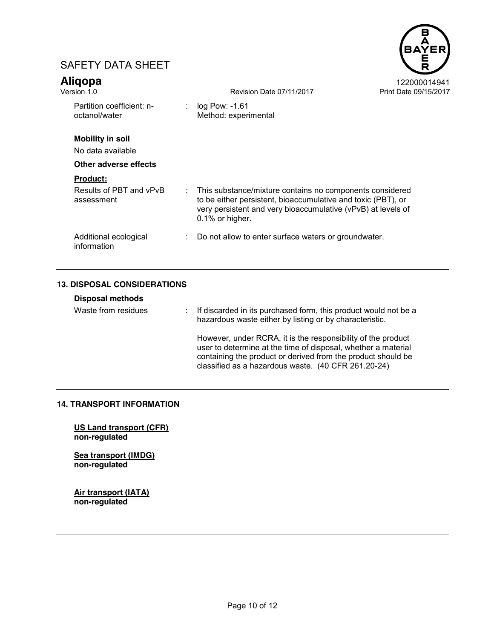



| <b>Aligopa</b><br>Version 1.0                |                               | Revision Date 07/11/2017                                                                                                                                                                                      | 122000014941<br>Print Date 09/15/2017 |
|----------------------------------------------|-------------------------------|---------------------------------------------------------------------------------------------------------------------------------------------------------------------------------------------------------------|---------------------------------------|
| Partition coefficient: n-<br>octanol/water   | $\mathcal{L}^{\mathcal{L}}$ . | $log$ Pow: $-1.61$<br>Method: experimental                                                                                                                                                                    |                                       |
| <b>Mobility in soil</b><br>No data available |                               |                                                                                                                                                                                                               |                                       |
| Other adverse effects                        |                               |                                                                                                                                                                                                               |                                       |
| <b>Product:</b>                              |                               |                                                                                                                                                                                                               |                                       |
| Results of PBT and vPvB<br>assessment        |                               | : This substance/mixture contains no components considered<br>to be either persistent, bioaccumulative and toxic (PBT), or<br>very persistent and very bioaccumulative (vPvB) at levels of<br>0.1% or higher. |                                       |
| Additional ecological<br>information         |                               | : Do not allow to enter surface waters or groundwater.                                                                                                                                                        |                                       |

# **13. DISPOSAL CONSIDERATIONS**

| <b>Disposal methods</b><br>Waste from residues |  | If discarded in its purchased form, this product would not be a<br>hazardous waste either by listing or by characteristic.                                                                                                                           |
|------------------------------------------------|--|------------------------------------------------------------------------------------------------------------------------------------------------------------------------------------------------------------------------------------------------------|
|                                                |  | However, under RCRA, it is the responsibility of the product<br>user to determine at the time of disposal, whether a material<br>containing the product or derived from the product should be<br>classified as a hazardous waste. (40 CFR 261.20-24) |

# **14. TRANSPORT INFORMATION**

**US Land transport (CFR) non-regulated**

**Sea transport (IMDG) non-regulated**

**Air transport (IATA) non-regulated**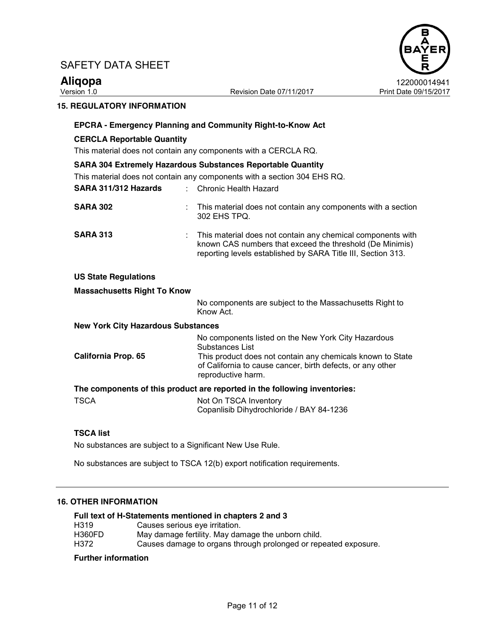



## **15. REGULATORY INFORMATION**

# **EPCRA - Emergency Planning and Community Right-to-Know Act CERCLA Reportable Quantity** This material does not contain any components with a CERCLA RQ. **SARA 304 Extremely Hazardous Substances Reportable Quantity** This material does not contain any components with a section 304 EHS RQ. **SARA 311/312 Hazards** : Chronic Health Hazard **SARA 302** : This material does not contain any components with a section 302 EHS TPQ.

**SARA 313** : This material does not contain any chemical components with known CAS numbers that exceed the threshold (De Minimis) reporting levels established by SARA Title III, Section 313.

# **US State Regulations**

# **Massachusetts Right To Know**

No components are subject to the Massachusetts Right to Know Act.

### **New York City Hazardous Substances**

|                     | No components listed on the New York City Hazardous<br>Substances List                                                                         |
|---------------------|------------------------------------------------------------------------------------------------------------------------------------------------|
| California Prop. 65 | This product does not contain any chemicals known to State<br>of California to cause cancer, birth defects, or any other<br>reproductive harm. |
|                     |                                                                                                                                                |

# **The components of this product are reported in the following inventories:**

| <b>TSCA</b> | Not On TSCA Inventory                    |
|-------------|------------------------------------------|
|             | Copanlisib Dihydrochloride / BAY 84-1236 |

#### **TSCA list**

No substances are subject to a Significant New Use Rule.

No substances are subject to TSCA 12(b) export notification requirements.

## **16. OTHER INFORMATION**

|                  | Full text of H-Statements mentioned in chapters 2 and 3         |
|------------------|-----------------------------------------------------------------|
| H <sub>319</sub> | Causes serious eve irritation.                                  |
| <b>H360FD</b>    | May damage fertility. May damage the unborn child.              |
| H372             | Causes damage to organs through prolonged or repeated exposure. |

#### **Further information**